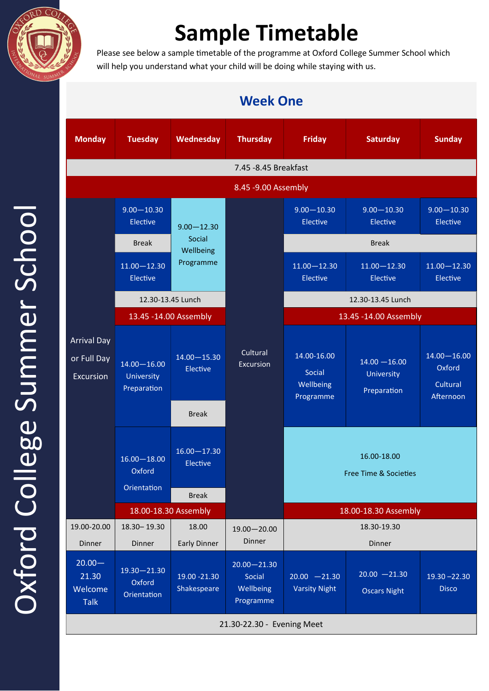

## **Sample Timetable**

Please see below a sample timetable of the programme at Oxford College Summer School which will help you understand what your child will be doing while staying with us.

## **Monday Tuesday Wednesday Thursday Friday Saturday Sunday** 7.45 -8.45 Breakfast 8.45 -9.00 Assembly Arrival Day or Full Day Excursion 9.00—10.30 Elective  $\Big| 9.00 - 12.30$ Social **Wellbeing** Programme **Cultural** Excursion 9.00—10.30 Elective 9.00—10.30 Elective 9.00—10.30 Elective Break Break Break Break 11.00—12.30 Elective 11.00—12.30 Elective 11.00—12.30 Elective 11.00—12.30 Elective 12.30-13.45 Lunch 12.30-13.45 Lunch 13.45 -14.00 Assembly 13.45 -14.00 Assembly 14.00—16.00 University Preparation 14.00—15.30 Elective 14.00-16.00 Social Wellbeing Programme  $14.00 - 16.00$ University Preparation 14.00—16.00 **Oxford** Cultural Afternoon Break 16.00—18.00 **Oxford Orientation** 16.00—17.30 Elective 16.00-18.00 Free Time & Societies Break 18.00-18.30 Assembly 18.00-18.30 Assembly 19.00-20.00 Dinner 18.30– 19.30 Dinner 18.00 Early Dinner 19.00—20.00 Dinner 18.30-19.30 Dinner  $20.00 -$ 21.30 Welcome Talk 19.30—21.30 Oxford **Orientation** 19.00 -21.30 Shakespeare 20.00—21.30 Social **Wellbeing** Programme 20.00 —21.30 Varsity Night  $20.00 - 21.30$ Oscars Night 19.30 –22.30 Disco 21.30-22.30 - Evening Meet

## **Week One**